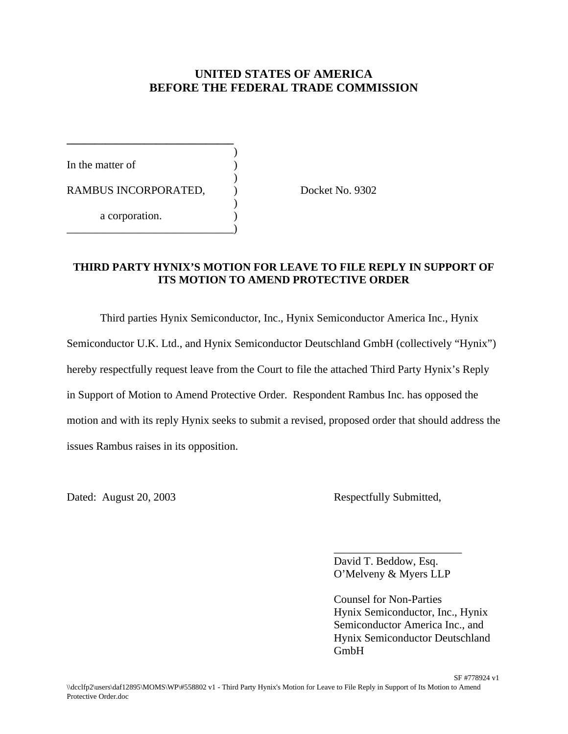### **UNITED STATES OF AMERICA BEFORE THE FEDERAL TRADE COMMISSION**

)

)

)

In the matter of RAMBUS INCORPORATED,  $Docket No. 9302$ a corporation. \_\_\_\_\_\_\_\_\_\_\_\_\_\_\_\_\_\_\_\_\_\_\_\_\_\_\_\_\_\_)

**\_\_\_\_\_\_\_\_\_\_\_\_\_\_\_\_\_\_\_\_\_\_\_\_\_\_\_\_\_\_**

#### **THIRD PARTY HYNIX'S MOTION FOR LEAVE TO FILE REPLY IN SUPPORT OF ITS MOTION TO AMEND PROTECTIVE ORDER**

Third parties Hynix Semiconductor, Inc., Hynix Semiconductor America Inc., Hynix Semiconductor U.K. Ltd., and Hynix Semiconductor Deutschland GmbH (collectively "Hynix") hereby respectfully request leave from the Court to file the attached Third Party Hynix's Reply in Support of Motion to Amend Protective Order. Respondent Rambus Inc. has opposed the motion and with its reply Hynix seeks to submit a revised, proposed order that should address the issues Rambus raises in its opposition.

Dated: August 20, 2003 Respectfully Submitted,

David T. Beddow, Esq. O'Melveny & Myers LLP

\_\_\_\_\_\_\_\_\_\_\_\_\_\_\_\_\_\_\_\_\_\_\_

Counsel for Non-Parties Hynix Semiconductor, Inc., Hynix Semiconductor America Inc., and Hynix Semiconductor Deutschland GmbH